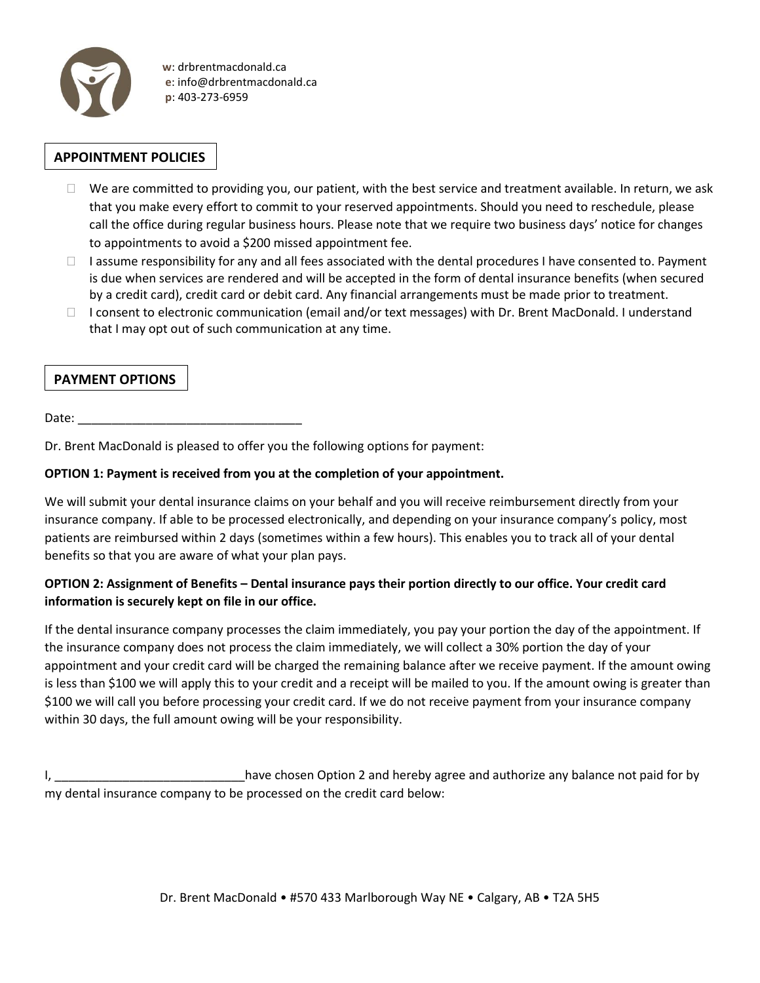

 **w**: drbrentmacdonald.ca  **e**: info@drbrentmacdonald.ca  **p**: 403-273-6959

# **APPOINTMENT POLICIES**

- $\Box$  We are committed to providing you, our patient, with the best service and treatment available. In return, we ask that you make every effort to commit to your reserved appointments. Should you need to reschedule, please call the office during regular business hours. Please note that we require two business days' notice for changes to appointments to avoid a \$200 missed appointment fee.
- $\Box$  I assume responsibility for any and all fees associated with the dental procedures I have consented to. Payment is due when services are rendered and will be accepted in the form of dental insurance benefits (when secured by a credit card), credit card or debit card. Any financial arrangements must be made prior to treatment.
- □ I consent to electronic communication (email and/or text messages) with Dr. Brent MacDonald. I understand that I may opt out of such communication at any time.

# **PAYMENT OPTIONS**

Date:

Dr. Brent MacDonald is pleased to offer you the following options for payment:

#### **OPTION 1: Payment is received from you at the completion of your appointment.**

We will submit your dental insurance claims on your behalf and you will receive reimbursement directly from your insurance company. If able to be processed electronically, and depending on your insurance company's policy, most patients are reimbursed within 2 days (sometimes within a few hours). This enables you to track all of your dental benefits so that you are aware of what your plan pays.

### **OPTION 2: Assignment of Benefits – Dental insurance pays their portion directly to our office. Your credit card information is securely kept on file in our office.**

If the dental insurance company processes the claim immediately, you pay your portion the day of the appointment. If the insurance company does not process the claim immediately, we will collect a 30% portion the day of your appointment and your credit card will be charged the remaining balance after we receive payment. If the amount owing is less than \$100 we will apply this to your credit and a receipt will be mailed to you. If the amount owing is greater than \$100 we will call you before processing your credit card. If we do not receive payment from your insurance company within 30 days, the full amount owing will be your responsibility.

I, \_\_\_\_\_\_\_\_\_\_\_\_\_\_\_\_\_\_\_\_\_\_\_\_\_\_\_\_have chosen Option 2 and hereby agree and authorize any balance not paid for by my dental insurance company to be processed on the credit card below: